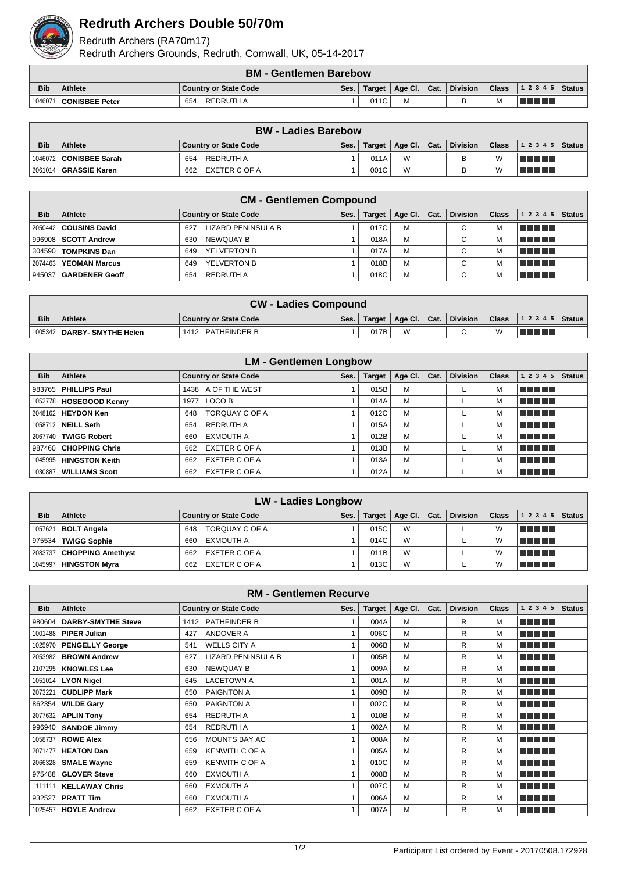

## **Redruth Archers Double 50/70m**

Redruth Archers (RA70m17)

Redruth Archers Grounds, Redruth, Cornwall, UK, 05-14-2017

|            | <b>BM - Gentlemen Barebow</b>                                                                                               |                  |  |      |   |  |  |   |  |  |
|------------|-----------------------------------------------------------------------------------------------------------------------------|------------------|--|------|---|--|--|---|--|--|
| <b>Bib</b> | <b>Division</b><br><b>Class</b><br>Age Cl.   Cat.<br>$ 12345 $ Status<br>Ses.<br>Athlete<br>Country or State Code<br>Target |                  |  |      |   |  |  |   |  |  |
| 1046071    | ∣ I CONISBEE Peter                                                                                                          | REDRUTH A<br>654 |  | 011C | M |  |  | м |  |  |

|            | <b>BW</b> - Ladies Barebow |                       |      |        |                            |  |          |   |                                        |  |
|------------|----------------------------|-----------------------|------|--------|----------------------------|--|----------|---|----------------------------------------|--|
| <b>Bib</b> | <b>Athlete</b>             | Country or State Code | Ses. | Target | $\Box$ Age Cl. $\Box$ Cat. |  | Division |   | Class $\vert$ 1 2 3 4 5 $\vert$ Status |  |
|            | 1046072   CONISBEE Sarah   | REDRUTH A<br>654      |      | 011A   | W                          |  |          | W | <u>Time de la</u>                      |  |
|            | 2061014 GRASSIE Karen      | 662<br>EXETER C OF A  |      | 001C   | W                          |  |          | W | T FIFTI T                              |  |

|            | <b>CM - Gentlemen Compound</b> |                                  |      |               |                 |      |                 |              |                                     |               |  |  |
|------------|--------------------------------|----------------------------------|------|---------------|-----------------|------|-----------------|--------------|-------------------------------------|---------------|--|--|
| <b>Bib</b> | Athlete                        | <b>Country or State Code</b>     | Ses. | <b>Target</b> | Age Cl. $\vert$ | Cat. | <b>Division</b> | <b>Class</b> | 12345                               | <b>Status</b> |  |  |
|            | 2050442   COUSINS David        | <b>LIZARD PENINSULA B</b><br>627 |      | 017C          | м               |      | С               |              | l Titologia e a segundo de la conte |               |  |  |
|            | 996908 SCOTT Andrew            | NEWOUAY B<br>630                 |      | 018A          | м               |      | C               | М            | l de la contra                      |               |  |  |
|            | 304590   <b>TOMPKINS Dan</b>   | YELVERTON B<br>649               |      | 017A          | M               |      | C               |              | l Titolin T                         |               |  |  |
| 2074463    | <b>YEOMAN Marcus</b>           | YELVERTON B<br>649               |      | 018B          | M               |      | C               |              | l Titolin T                         |               |  |  |
|            | 945037   GARDENER Geoff        | REDRUTH A<br>654                 |      | 018C          | M               |      | С               |              | T FIFTE T                           |               |  |  |

|            | <b>CW - Ladies Compound</b>   |                              |      |      |                         |  |          |  |                                |  |
|------------|-------------------------------|------------------------------|------|------|-------------------------|--|----------|--|--------------------------------|--|
| <b>Bib</b> | <b>Athlete</b>                | <b>Country or State Code</b> | Ses. |      | Target   Age Cl.   Cat. |  | Division |  | Class $\vert$ 1 2 3 4 5 Status |  |
|            | 1005342   DARBY- SMYTHE Helen | 1412 PATHFINDER B            |      | 017B | M                       |  | $\sim$   |  |                                |  |

|            | <b>LM - Gentlemen Longbow</b> |                              |      |               |                 |      |                 |              |                |               |  |  |
|------------|-------------------------------|------------------------------|------|---------------|-----------------|------|-----------------|--------------|----------------|---------------|--|--|
| <b>Bib</b> | Athlete                       | <b>Country or State Code</b> | Ses. | <b>Target</b> | Age Cl. $\vert$ | Cat. | <b>Division</b> | <b>Class</b> | 1 2 3 4 5      | <b>Status</b> |  |  |
|            | 983765   PHILLIPS Paul        | 1438 A OF THE WEST           |      | 015B          | м               |      |                 | м            | <b>RENER</b>   |               |  |  |
|            | 1052778   HOSEGOOD Kenny      | LOCO B<br>1977               |      | 014A          | м               |      |                 |              | n na mata      |               |  |  |
|            | 2048162 HEYDON Ken            | TORQUAY C OF A<br>648        |      | 012C          | M               |      |                 | м            | <b>RENE BE</b> |               |  |  |
|            | 1058712 NEILL Seth            | REDRUTH A<br>654             |      | 015A          | M               |      |                 | м            | n na mara      |               |  |  |
|            | 2067740 TWIGG Robert          | EXMOUTH A<br>660             |      | 012B          | м               |      |                 | м            | l Titolin T    |               |  |  |
|            | 987460   CHOPPING Chris       | EXETER C OF A<br>662         |      | 013B          | M               |      |                 |              | n na mata      |               |  |  |
|            | 1045995   HINGSTON Keith      | EXETER C OF A<br>662         |      | 013A          | M               |      |                 | м            | l Titolin T    |               |  |  |
|            | 1030887   WILLIAMS Scott      | EXETER C OF A<br>662         |      | 012A          | M               |      |                 |              | <b>REAL BE</b> |               |  |  |

|            | <b>LW - Ladies Longbow</b>   |                              |      |               |                 |      |                 |              |                |  |  |  |
|------------|------------------------------|------------------------------|------|---------------|-----------------|------|-----------------|--------------|----------------|--|--|--|
| <b>Bib</b> | Athlete                      | <b>Country or State Code</b> | Ses. | <b>Target</b> | Age Cl. $\vert$ | Cat. | <b>Division</b> | <b>Class</b> | $12345$ Status |  |  |  |
|            | 1057621   <b>BOLT Angela</b> | TORQUAY C OF A<br>648        |      | 015C          | W               |      |                 | W            | T FIFIT E      |  |  |  |
|            | 975534   TWIGG Sophie        | EXMOUTH A<br>660             |      | 014C          | W               |      |                 | W            | 30 D D D D     |  |  |  |
|            | 2083737   CHOPPING Amethyst  | EXETER C OF A<br>662         |      | 011B          | W               |      |                 | W            | TI TI TI T     |  |  |  |
|            | 1045997   HINGSTON Myra      | EXETER C OF A<br>662         |      | 013C          | W               |      |                 | W            | ma ma          |  |  |  |

| <b>RM - Gentlemen Recurve</b> |                           |                                  |              |               |         |      |                 |              |            |               |  |
|-------------------------------|---------------------------|----------------------------------|--------------|---------------|---------|------|-----------------|--------------|------------|---------------|--|
| <b>Bib</b>                    | <b>Athlete</b>            | <b>Country or State Code</b>     | Ses.         | <b>Target</b> | Age Cl. | Cat. | <b>Division</b> | <b>Class</b> | 1 2 3 4 5  | <b>Status</b> |  |
| 980604                        | <b>DARBY-SMYTHE Steve</b> | 1412 PATHFINDER B                | 1            | 004A          | M       |      | R               | M            | n din bir  |               |  |
| 1001488                       | <b>PIPER Julian</b>       | ANDOVER A<br>427                 | $\mathbf{1}$ | 006C          | M       |      | R               | М            | a da birni |               |  |
| 1025970                       | <b>PENGELLY George</b>    | <b>WELLS CITY A</b><br>541       |              | 006B          | M       |      | R               | м            | ma mata    |               |  |
| 2053982                       | <b>BROWN Andrew</b>       | <b>LIZARD PENINSULA B</b><br>627 |              | 005B          | M       |      | R               | м            | n na mata  |               |  |
| 2107295                       | <b>KNOWLES Lee</b>        | <b>NEWQUAY B</b><br>630          | 1            | 009A          | M       |      | R               | M            | n na ma    |               |  |
| 1051014                       | <b>LYON Nigel</b>         | <b>LACETOWN A</b><br>645         | $\mathbf{1}$ | 001A          | M       |      | R               | M            | a da birni |               |  |
| 2073221                       | <b>CUDLIPP Mark</b>       | PAIGNTON A<br>650                | 1            | 009B          | M       |      | R               | M            | a shekara  |               |  |
| 862354                        | <b>WILDE Gary</b>         | PAIGNTON A<br>650                |              | 002C          | M       |      | R               | M            | M MARIT    |               |  |
| 2077632                       | <b>APLIN Tony</b>         | <b>REDRUTH A</b><br>654          | $\mathbf{1}$ | 010B          | M       |      | R               | M            | n na mata  |               |  |
| 996940                        | <b>SANDOE Jimmy</b>       | <b>REDRUTH A</b><br>654          | $\mathbf{1}$ | 002A          | M       |      | R               | M            | M MARIT    |               |  |
| 1058737                       | <b>ROWE Alex</b>          | <b>MOUNTS BAY AC</b><br>656      | $\mathbf{1}$ | 008A          | M       |      | R               | М            | n na mata  |               |  |
| 2071477                       | <b>HEATON Dan</b>         | <b>KENWITH C OF A</b><br>659     |              | 005A          | М       |      | R               | M            | n din Film |               |  |
| 2066328                       | <b>SMALE Wayne</b>        | <b>KENWITH C OF A</b><br>659     | 1            | 010C          | M       |      | R               | м            | ma mata    |               |  |
| 975488                        | <b>GLOVER Steve</b>       | <b>EXMOUTH A</b><br>660          | 1            | 008B          | M       |      | R               | M            | a da birni |               |  |
| 1111111                       | <b>KELLAWAY Chris</b>     | <b>EXMOUTH A</b><br>660          | $\mathbf{1}$ | 007C          | M       |      | R               | м            | n in Tim   |               |  |
| 932527                        | <b>PRATT Tim</b>          | <b>EXMOUTH A</b><br>660          | 1            | 006A          | M       |      | R               | M            | a da birni |               |  |
| 1025457                       | <b>HOYLE Andrew</b>       | EXETER C OF A<br>662             |              | 007A          | M       |      | R               | м            | n din bir  |               |  |